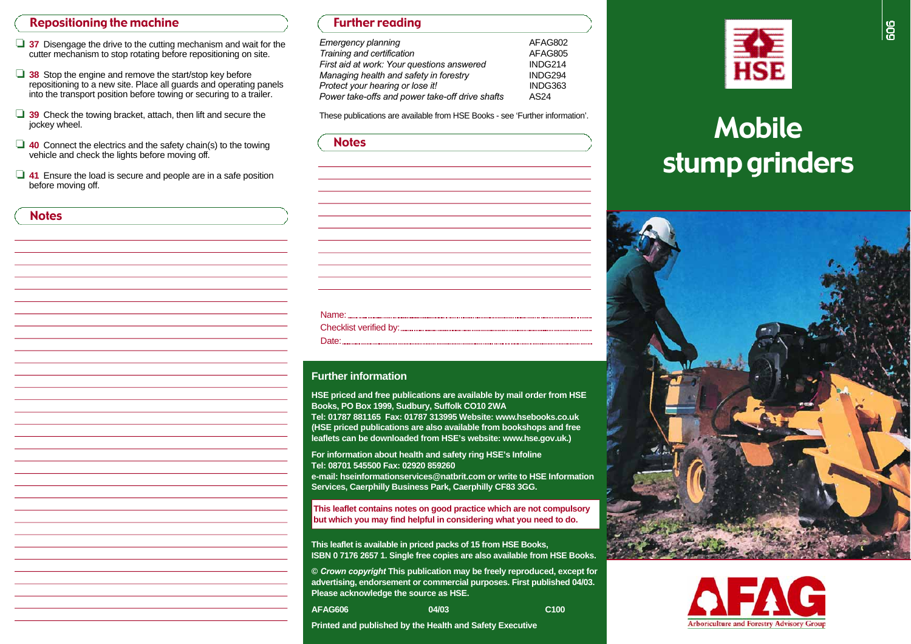### Repositioning the machine

**Notes** 

- □ 37 Disengage the drive to the cutting mechanism and wait for the cutter mechanism to stop rotating before repositioning on site.
- ❏ **3 8** Stop the engine and remove the start/stop key before repositioning to a new site. Place all guards and operating panels into the transport position before towing or securing to a trailer.
- ❏ **3 9** Check the towing bracket, attach, then lift and secure the jockey wheel.
- ❏ **4 0** Connect the electrics and the safety chain(s) to the towing vehicle and check the lights before moving off.
- ❏ **4 1** Ensure the load is secure and people are in a safe position before moving off.

| <b>TUITIEL LEUGHIU</b>                          |         |
|-------------------------------------------------|---------|
| <b>Emergency planning</b>                       | AFAG802 |
| Training and certification                      | AFAG805 |
| First aid at work: Your questions answered      | INDG214 |
| Managing health and safety in forestry          | INDG294 |
| Protect your hearing or lose it!                | INDG363 |
| Power take-offs and power take-off drive shafts | AS24    |

Further reading

| <b>Notes</b> |
|--------------|
|              |
|              |
|              |
|              |
|              |
|              |
|              |
|              |
|              |
|              |
|              |
|              |
|              |
|              |
|              |

#### **Further information**

**HSE priced and free publications are available by mail order from HSE Books, PO Box 1999, Sudbury, Suffolk CO10 2WA** 

**Tel: 01787 881165 Fax: 01787 313995 Website: www.h s e b o o k s . c o . u k (HSE priced publications are also available from bookshops and free**  leaflets can be downloaded from HSE's website: www.hse.gov.uk.)

**For information about health and safety ring HSE's Infoline Tel: 08701 545500 Fax: 02920 859260 e-mail: hseinformationservices@natbrit.com or write to HSE Information Services, Caerphilly Business Park, Caerphilly CF83 3GG.** 

**This leaflet contains notes on good practice which are not compulsory but which you may find helpful in considering what you need to do.** 

**This leaflet is available in priced packs of 15 from HSE Books, ISBN 0 7176 2657 1. Single free copies are also available from HSE Books.** 

**©** *Crown copyright* **This publication may be freely reproduced, except for advertising, endorsement or commercial purposes. First published 04/03. Please acknowledge the source as HSE.** 

04/03 **A FA G 6 0 6 04 0 3 C1 0 0** 

**Printed and published by the Health and Safety Executive** 



# These publications are available from HSE Books - see 'Further information'. stump grinders